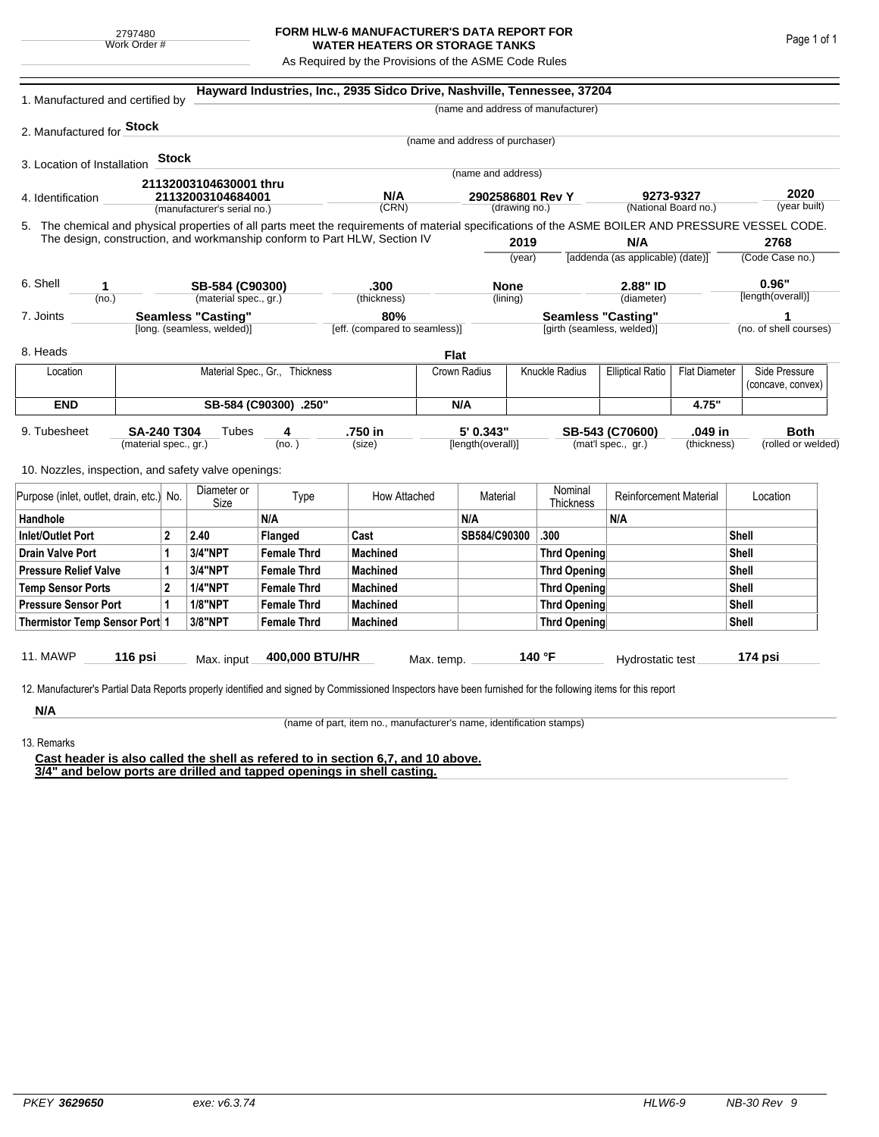## **FORM HLW-6 MANUFACTURER'S DATA REPORT FOR WATER HEATERS OR STORAGE TANKS**

As Required by the Provisions of the ASME Code Rules

| 1. Manufactured and certified by                                                                                                                                                                                                |                                             |                     |                             |                                      | Hayward Industries, Inc., 2935 Sidco Drive, Nashville, Tennessee, 37204 |             |                                                         |                      |                                    |                                       |                        |                                    |                                   |  |
|---------------------------------------------------------------------------------------------------------------------------------------------------------------------------------------------------------------------------------|---------------------------------------------|---------------------|-----------------------------|--------------------------------------|-------------------------------------------------------------------------|-------------|---------------------------------------------------------|----------------------|------------------------------------|---------------------------------------|------------------------|------------------------------------|-----------------------------------|--|
|                                                                                                                                                                                                                                 |                                             |                     |                             |                                      |                                                                         |             |                                                         |                      | (name and address of manufacturer) |                                       |                        |                                    |                                   |  |
| 2. Manufactured for Stock                                                                                                                                                                                                       |                                             |                     |                             |                                      |                                                                         |             |                                                         |                      |                                    |                                       |                        |                                    |                                   |  |
|                                                                                                                                                                                                                                 |                                             |                     |                             |                                      |                                                                         |             | (name and address of purchaser)                         |                      |                                    |                                       |                        |                                    |                                   |  |
| 3. Location of Installation                                                                                                                                                                                                     |                                             | Stock               |                             |                                      |                                                                         |             |                                                         |                      |                                    |                                       |                        |                                    |                                   |  |
|                                                                                                                                                                                                                                 |                                             |                     | 21132003104630001 thru      |                                      |                                                                         |             | (name and address)                                      |                      |                                    |                                       |                        |                                    |                                   |  |
| 4. Identification                                                                                                                                                                                                               |                                             |                     | 21132003104684001           |                                      | N/A                                                                     |             | 2902586801 Rev Y<br>(drawing no.)                       |                      | 9273-9327                          |                                       |                        |                                    | 2020<br>(year built)              |  |
|                                                                                                                                                                                                                                 |                                             |                     | (manufacturer's serial no.) |                                      | (CRN)                                                                   |             |                                                         |                      |                                    |                                       | (National Board no.)   |                                    |                                   |  |
| 5. The chemical and physical properties of all parts meet the requirements of material specifications of the ASME BOILER AND PRESSURE VESSEL CODE.<br>The design, construction, and workmanship conform to Part HLW, Section IV |                                             |                     |                             |                                      |                                                                         |             |                                                         | 2019                 |                                    | N/A                                   |                        |                                    | 2768                              |  |
|                                                                                                                                                                                                                                 |                                             |                     |                             |                                      |                                                                         |             | (year)                                                  |                      |                                    | [addenda (as applicable) (date)]      |                        |                                    | (Code Case no.)                   |  |
|                                                                                                                                                                                                                                 |                                             |                     |                             |                                      |                                                                         |             |                                                         |                      |                                    |                                       |                        |                                    |                                   |  |
| 6. Shell<br>1                                                                                                                                                                                                                   |                                             |                     | SB-584 (C90300)             |                                      | .300                                                                    |             | <b>None</b>                                             |                      | 2.88" ID                           |                                       | 0.96"                  |                                    |                                   |  |
|                                                                                                                                                                                                                                 | (no.)                                       |                     |                             | (material spec., gr.)                |                                                                         | (thickness) |                                                         | (lining)             |                                    | (diameter)                            |                        |                                    | [length(overall)]                 |  |
| <b>Seamless "Casting"</b><br>7. Joints<br>[long. (seamless, welded)]                                                                                                                                                            |                                             |                     |                             | 80%<br>[eff. (compared to seamless)] |                                                                         |             | <b>Seamless "Casting"</b><br>[girth (seamless, welded)] |                      |                                    |                                       |                        | 1<br>(no. of shell courses)        |                                   |  |
|                                                                                                                                                                                                                                 |                                             |                     |                             |                                      |                                                                         |             |                                                         |                      |                                    |                                       |                        |                                    |                                   |  |
| 8. Heads                                                                                                                                                                                                                        |                                             |                     |                             |                                      |                                                                         | <b>Flat</b> |                                                         |                      |                                    |                                       |                        |                                    |                                   |  |
| Location                                                                                                                                                                                                                        | Material Spec., Gr., Thickness              |                     |                             |                                      |                                                                         |             | Knuckle Radius<br>Crown Radius                          |                      | <b>Elliptical Ratio</b>            | <b>Flat Diameter</b>                  |                        | Side Pressure<br>(concave, convex) |                                   |  |
| <b>END</b>                                                                                                                                                                                                                      |                                             |                     |                             | SB-584 (C90300) .250"                |                                                                         | N/A         |                                                         |                      |                                    |                                       | 4.75"                  |                                    |                                   |  |
| 9. Tubesheet<br>10. Nozzles, inspection, and safety valve openings:                                                                                                                                                             | <b>SA-240 T304</b><br>(material spec., gr.) |                     | Tubes                       | 4<br>(no.)                           | .750 in<br>(size)                                                       |             | 5' 0.343"<br>[length(overall)]                          |                      |                                    | SB-543 (C70600)<br>(mat'l spec., gr.) | .049 in<br>(thickness) |                                    | <b>Both</b><br>(rolled or welded) |  |
| Purpose (inlet, outlet, drain, etc.) No.                                                                                                                                                                                        |                                             | Diameter or<br>Size | Type                        | How Attached                         |                                                                         | Material    |                                                         | Nominal<br>Thickness | <b>Reinforcement Material</b>      |                                       |                        | Location                           |                                   |  |
| Handhole                                                                                                                                                                                                                        |                                             |                     |                             | N/A                                  |                                                                         |             | N/A                                                     |                      |                                    | N/A                                   |                        |                                    |                                   |  |
| $\mathbf{2}$<br>Inlet/Outlet Port                                                                                                                                                                                               |                                             |                     | 2.40                        | Flanged                              | Cast                                                                    |             | SB584/C90300                                            |                      | .300                               |                                       |                        | Shell                              |                                   |  |
| Drain Valve Port<br>1                                                                                                                                                                                                           |                                             |                     | <b>3/4"NPT</b>              | <b>Female Thrd</b>                   | <b>Machined</b>                                                         |             |                                                         |                      | Thrd Opening                       |                                       |                        |                                    | Shell                             |  |
| <b>Pressure Relief Valve</b><br>1                                                                                                                                                                                               |                                             |                     | 3/4"NPT                     | <b>Female Thrd</b>                   | <b>Machined</b>                                                         |             |                                                         |                      | Thrd Opening                       |                                       | Shell                  |                                    |                                   |  |
| $\overline{2}$<br><b>Temp Sensor Ports</b>                                                                                                                                                                                      |                                             |                     | <b>1/4"NPT</b>              | <b>Female Thrd</b>                   | <b>Machined</b>                                                         |             |                                                         |                      | Thrd Opening                       |                                       |                        | Shell                              |                                   |  |
| <b>Pressure Sensor Port</b><br>1                                                                                                                                                                                                |                                             |                     | <b>1/8"NPT</b>              | <b>Female Thrd</b>                   | <b>Machined</b>                                                         |             |                                                         |                      | Thrd Opening                       |                                       |                        | Shell                              |                                   |  |
| Thermistor Temp Sensor Port 1                                                                                                                                                                                                   |                                             |                     | 3/8"NPT                     | <b>Female Thrd</b>                   | <b>Machined</b>                                                         |             |                                                         |                      | Thrd Opening                       |                                       |                        | Shell                              |                                   |  |
| 11. MAWP<br>12. Manufacturer's Partial Data Reports properly identified and signed by Commissioned Inspectors have been furnished for the following items for this report                                                       | 116 psi                                     |                     | Max. input                  | 400,000 BTU/HR                       |                                                                         | Max. temp.  |                                                         |                      | 140 °F                             | Hydrostatic test                      |                        |                                    | 174 psi                           |  |
| N/A                                                                                                                                                                                                                             |                                             |                     |                             |                                      |                                                                         |             |                                                         |                      |                                    |                                       |                        |                                    |                                   |  |

(name of part, item no., manufacturer's name, identification stamps)

13. Remarks

**Cast header is also called the shell as refered to in section 6,7, and 10 above. 3/4" and below ports are drilled and tapped openings in shell casting.**